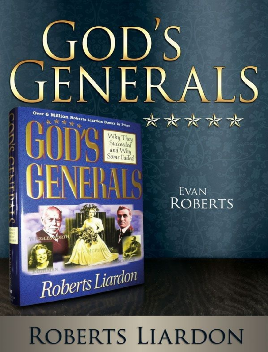# $\mathcal{L}(\mathcal{L})$ TENER  $\boldsymbol{\varsigma}$



**CALCO AND** 

## **EVAN ROBERTS**

# ROBERTS LIARDON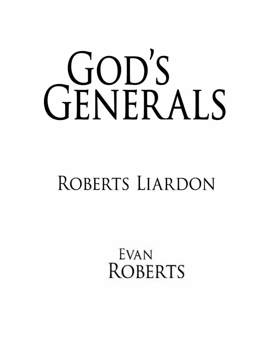# GOD'S<br>GENERALS

# ROBERTS LIARDON

**EVAN ROBERTS**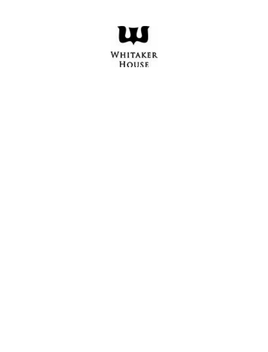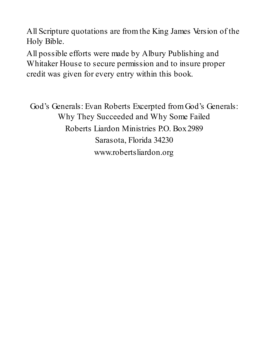All Scripture quotations are fromthe King James Version of the Holy Bible.

All possible efforts were made by Albury Publishing and Whitaker House to secure permission and to insure proper credit was given for every entry within this book.

God's Generals: Evan Roberts Excerpted fromGod's Generals: Why They Succeeded and Why Some Failed Roberts Liardon Ministries PO Box 2989 Sarasota, Florida 34230 www.robertsliardon.org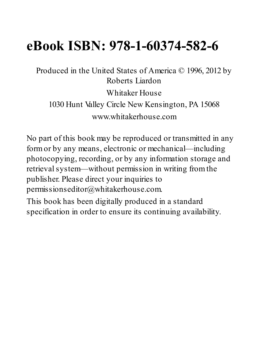# **eBook ISBN: 978-1-60374-582-6**

Produced in the United States of America © 1996, 2012 by Roberts Liardon Whitaker House 1030 Hunt Valley Circle New Kensington, PA 15068 www.whitakerhouse.com

No part of this book may be reproduced or transmitted in any formor by any means, electronic or mechanical—including photocopying, recording, or by any information storage and retrieval system—without permission in writing from the publisher. Please direct your inquiries to permissionseditor@whitakerhouse.com.

This book has been digitally produced in a standard specification in order to ensure its continuing availability.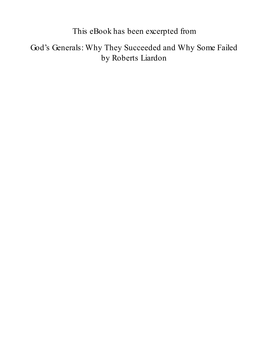This eBook has been excerpted from

#### God's Generals: Why They Succeeded and Why Some Failed by Roberts Liardon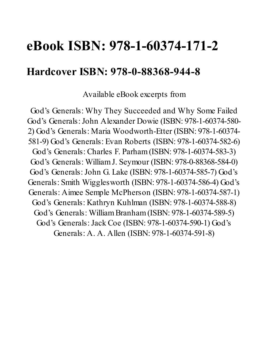### **eBook ISBN: 978-1-60374-171-2**

#### **Hardcover ISBN: 978-0-88368-944-8**

Available eBook excerpts from

God's Generals: Why They Succeeded and Why Some Failed God's Generals:John Alexander Dowie (ISBN: 978-1-60374-580- 2) God's Generals: Maria Woodworth-Etter (ISBN: 978-1-60374- 581-9) God's Generals: Evan Roberts (ISBN: 978-1-60374-582-6) God's Generals: Charles F. Parham(ISBN: 978-1-60374-583-3) God's Generals: WilliamJ. Seymour (ISBN: 978-0-88368-584-0) God's Generals:John G. Lake (ISBN: 978-1-60374-585-7) God's Generals: Smith Wigglesworth (ISBN: 978-1-60374-586-4) God's Generals: Aimee Semple McPherson (ISBN: 978-1-60374-587-1) God's Generals: Kathryn Kuhlman (ISBN: 978-1-60374-588-8) God's Generals: WilliamBranham(ISBN: 978-1-60374-589-5) God's Generals:Jack Coe (ISBN: 978-1-60374-590-1) God's Generals: A. A. Allen (ISBN: 978-1-60374-591-8)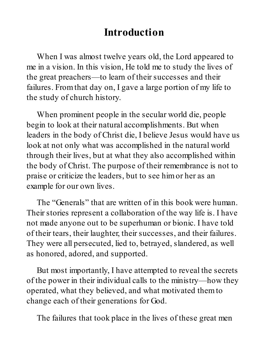#### **Introduction**

When I was almost twelve years old, the Lord appeared to me in a vision. In this vision, He told me to study the lives of the great preachers—to learn of their successes and their failures. Fromthat day on, I gave a large portion of my life to the study of church history.

When prominent people in the secular world die, people begin to look at their natural accomplishments. But when leaders in the body of Christ die, I believe Jesus would have us look at not only what was accomplished in the natural world through their lives, but at what they also accomplished within the body of Christ. The purpose of their remembrance is not to praise or criticize the leaders, but to see himor her as an example for our own lives.

The "Generals" that are written of in this book were human. Their stories represent a collaboration of the way life is. I have not made anyone out to be superhuman or bionic. I have told of their tears, their laughter, their successes, and their failures. They were all persecuted, lied to, betrayed, slandered, as well as honored, adored, and supported.

But most importantly, I have attempted to reveal the secrets of the power in their individual calls to the ministry—how they operated, what they believed, and what motivated themto change each of their generations for God.

The failures that took place in the lives of these great men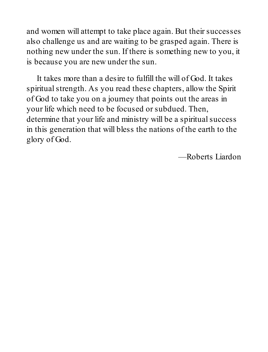and women will attempt to take place again. But their successes also challenge us and are waiting to be grasped again. There is nothing new under the sun. If there is something new to you, it is because you are new under the sun.

It takes more than a desire to fulfill the will of God. It takes spiritual strength. As you read these chapters, allow the Spirit of God to take you on a journey that points out the areas in your life which need to be focused or subdued. Then, determine that your life and ministry will be a spiritual success in this generation that will bless the nations of the earth to the glory of God.

—Roberts Liardon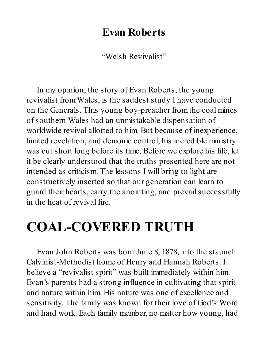#### **Evan Roberts**

"Welsh Revivalist"

In my opinion, the story of Evan Roberts, the young revivalist fromWales, is the saddest study I have conducted on the Generals. This young boy-preacher fromthe coal mines of southern Wales had an unmistakable dispensation of worldwide revival allotted to him. But because of inexperience, limited revelation, and demonic control, his incredible ministry was cut short long before its time. Before we explore his life, let it be clearly understood that the truths presented here are not intended as criticism. The lessons I will bring to light are constructively inserted so that our generation can learn to guard their hearts, carry the anointing, and prevailsuccessfully in the heat of revival fire.

# **COAL-COVERED TRUTH**

Evan John Roberts was born June 8, 1878, into the staunch Calvinist-Methodist home of Henry and Hannah Roberts. I believe a "revivalist spirit" was built immediately within him. Evan's parents had a strong influence in cultivating that spirit and nature within him. His nature was one of excellence and sensitivity. The family was known for their love of God's Word and hard work. Each family member, no matter how young, had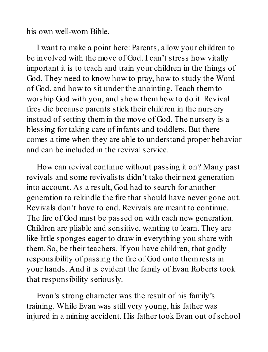his own well-worn Bible.

I want to make a point here: Parents, allow your children to be involved with the move of God. I can't stress how vitally important it is to teach and train your children in the things of God. They need to know how to pray, how to study the Word of God, and how to sit under the anointing. Teach themto worship God with you, and show themhow to do it. Revival fires die because parents stick their children in the nursery instead of setting themin the move of God. The nursery is a blessing for taking care of infants and toddlers. But there comes a time when they are able to understand proper behavior and can be included in the revivalservice.

How can revival continue without passing it on? Many past revivals and some revivalists didn't take their next generation into account. As a result, God had to search for another generation to rekindle the fire that should have never gone out. Revivals don't have to end. Revivals are meant to continue. The fire of God must be passed on with each new generation. Children are pliable and sensitive, wanting to learn. They are like little sponges eager to draw in everything you share with them. So, be their teachers. If you have children, that godly responsibility of passing the fire of God onto themrests in your hands. And it is evident the family of Evan Roberts took that responsibility seriously.

Evan's strong character was the result of his family's training. While Evan was still very young, his father was injured in a mining accident. His father took Evan out of school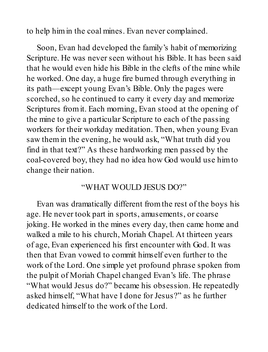to help himin the coal mines. Evan never complained.

Soon, Evan had developed the family's habit of memorizing Scripture. He was never seen without his Bible. It has been said that he would even hide his Bible in the clefts of the mine while he worked. One day, a huge fire burned through everything in its path—except young Evan's Bible. Only the pages were scorched, so he continued to carry it every day and memorize Scriptures fromit. Each morning, Evan stood at the opening of the mine to give a particular Scripture to each of the passing workers for their workday meditation. Then, when young Evan saw themin the evening, he would ask, "What truth did you find in that text?" As these hardworking men passed by the coal-covered boy, they had no idea how God would use himto change their nation.

#### "WHAT WOULD JESUS DO?"

Evan was dramatically different fromthe rest of the boys his age. He never took part in sports, amusements, or coarse joking. He worked in the mines every day, then came home and walked a mile to his church, Moriah Chapel. At thirteen years of age, Evan experienced his first encounter with God. It was then that Evan vowed to commit himself even further to the work of the Lord. One simple yet profound phrase spoken from the pulpit of Moriah Chapel changed Evan's life. The phrase "What would Jesus do?" became his obsession. He repeatedly asked himself, "What have I done for Jesus?" as he further dedicated himself to the work of the Lord.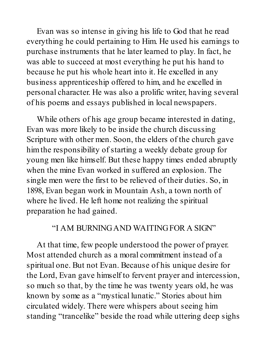Evan was so intense in giving his life to God that he read everything he could pertaining to Him. He used his earnings to purchase instruments that he later learned to play. In fact, he was able to succeed at most everything he put his hand to because he put his whole heart into it. He excelled in any business apprenticeship offered to him, and he excelled in personal character. He was also a prolific writer, having several of his poems and essays published in local newspapers.

While others of his age group became interested in dating, Evan was more likely to be inside the church discussing Scripture with other men. Soon, the elders of the church gave himthe responsibility of starting a weekly debate group for young men like himself. But these happy times ended abruptly when the mine Evan worked in suffered an explosion. The single men were the first to be relieved of their duties. So, in 1898, Evan began work in Mountain Ash, a town north of where he lived. He left home not realizing the spiritual preparation he had gained.

#### "I AM BURNINGAND WAITINGFOR A SIGN"

At that time, few people understood the power of prayer. Most attended church as a moral commitment instead of a spiritual one. But not Evan. Because of his unique desire for the Lord, Evan gave himself to fervent prayer and intercession, so much so that, by the time he was twenty years old, he was known by some as a "mystical lunatic." Stories about him circulated widely. There were whispers about seeing him standing "trancelike" beside the road while uttering deep sighs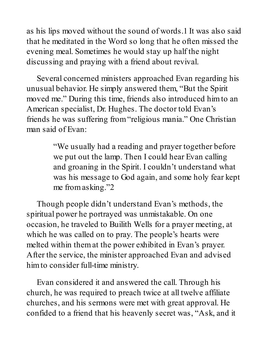as his lips moved without the sound of words.1 It was also said that he meditated in the Word so long that he often missed the evening meal. Sometimes he would stay up half the night discussing and praying with a friend about revival.

Several concerned ministers approached Evan regarding his unusual behavior. He simply answered them, "But the Spirit moved me." During this time, friends also introduced himto an American specialist, Dr. Hughes. The doctor told Evan's friends he was suffering from"religious mania." One Christian man said of Evan:

> "We usually had a reading and prayer together before we put out the lamp. Then I could hear Evan calling and groaning in the Spirit. I couldn't understand what was his message to God again, and some holy fear kept me fromasking."2

Though people didn't understand Evan's methods, the spiritual power he portrayed was unmistakable. On one occasion, he traveled to Builith Wells for a prayer meeting, at which he was called on to pray. The people's hearts were melted within themat the power exhibited in Evan's prayer. After the service, the minister approached Evan and advised himto consider full-time ministry.

Evan considered it and answered the call. Through his church, he was required to preach twice at all twelve affiliate churches, and his sermons were met with great approval. He confided to a friend that his heavenly secret was, "Ask, and it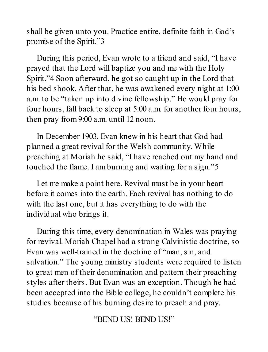shall be given unto you. Practice entire, definite faith in God's promise of the Spirit."3

During this period, Evan wrote to a friend and said, "I have prayed that the Lord will baptize you and me with the Holy Spirit."4 Soon afterward, he got so caught up in the Lord that his bed shook. After that, he was awakened every night at 1:00 a.m. to be "taken up into divine fellowship." He would pray for four hours, fall back to sleep at 5:00 a.m. for another four hours, then pray from9:00 a.m. until 12 noon.

In December 1903, Evan knew in his heart that God had planned a great revival for the Welsh community. While preaching at Moriah he said, "I have reached out my hand and touched the flame. I amburning and waiting for a sign."5

Let me make a point here. Revival must be in your heart before it comes into the earth. Each revival has nothing to do with the last one, but it has everything to do with the individual who brings it.

During this time, every denomination in Wales was praying for revival. Moriah Chapel had a strong Calvinistic doctrine, so Evan was well-trained in the doctrine of "man, sin, and salvation." The young ministry students were required to listen to great men of their denomination and pattern their preaching styles after theirs. But Evan was an exception. Though he had been accepted into the Bible college, he couldn't complete his studies because of his burning desire to preach and pray.

"BEND US! BEND US!"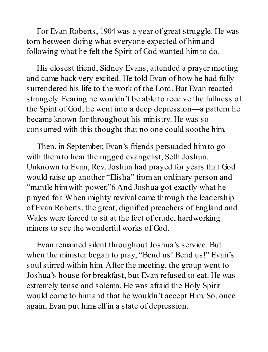For Evan Roberts, 1904 was a year of great struggle. He was torn between doing what everyone expected of himand following what he felt the Spirit of God wanted himto do.

His closest friend, Sidney Evans, attended a prayer meeting and came back very excited. He told Evan of how he had fully surrendered his life to the work of the Lord. But Evan reacted strangely. Fearing he wouldn't be able to receive the fullness of the Spirit of God, he went into a deep depression—a pattern he became known for throughout his ministry. He was so consumed with this thought that no one could soothe him.

Then, in September, Evan's friends persuaded himto go with themto hear the rugged evangelist, Seth Joshua. Unknown to Evan, Rev. Joshua had prayed for years that God would raise up another "Elisha" froman ordinary person and "mantle himwith power."6 And Joshua got exactly what he prayed for. When mighty revival came through the leadership of Evan Roberts, the great, dignified preachers of England and Wales were forced to sit at the feet of crude, hardworking miners to see the wonderful works of God.

Evan remained silent throughout Joshua's service. But when the minister began to pray, "Bend us! Bend us!" Evan's soulstirred within him. After the meeting, the group went to Joshua's house for breakfast, but Evan refused to eat. He was extremely tense and solemn. He was afraid the Holy Spirit would come to himand that he wouldn't accept Him. So, once again, Evan put himself in a state of depression.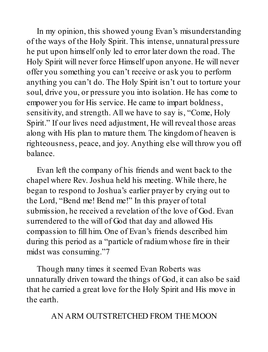In my opinion, this showed young Evan's misunderstanding of the ways of the Holy Spirit. This intense, unnatural pressure he put upon himself only led to error later down the road. The Holy Spirit will never force Himself upon anyone. He will never offer you something you can't receive or ask you to perform anything you can't do. The Holy Spirit isn't out to torture your soul, drive you, or pressure you into isolation. He has come to empower you for His service. He came to impart boldness, sensitivity, and strength. All we have to say is, "Come, Holy Spirit." If our lives need adjustment, He will reveal those areas along with His plan to mature them. The kingdomof heaven is righteousness, peace, and joy. Anything else will throw you off balance.

Evan left the company of his friends and went back to the chapel where Rev. Joshua held his meeting. While there, he began to respond to Joshua's earlier prayer by crying out to the Lord, "Bend me! Bend me!" In this prayer of total submission, he received a revelation of the love of God. Evan surrendered to the will of God that day and allowed His compassion to fill him. One of Evan's friends described him during this period as a "particle of radiumwhose fire in their midst was consuming."7

Though many times it seemed Evan Roberts was unnaturally driven toward the things of God, it can also be said that he carried a great love for the Holy Spirit and His move in the earth.

AN ARM OUTSTRETCHED FROM THE MOON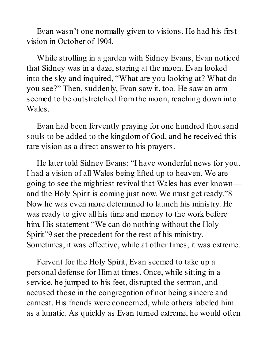Evan wasn't one normally given to visions. He had his first vision in October of 1904.

While strolling in a garden with Sidney Evans, Evan noticed that Sidney was in a daze, staring at the moon. Evan looked into the sky and inquired, "What are you looking at? What do you see?" Then, suddenly, Evan saw it, too. He saw an arm seemed to be outstretched fromthe moon, reaching down into Wales.

Evan had been fervently praying for one hundred thousand souls to be added to the kingdomof God, and he received this rare vision as a direct answer to his prayers.

He later told Sidney Evans: "I have wonderful news for you. I had a vision of all Wales being lifted up to heaven. We are going to see the mightiest revival that Wales has ever known and the Holy Spirit is coming just now. We must get ready."8 Now he was even more determined to launch his ministry. He was ready to give all his time and money to the work before him. His statement "We can do nothing without the Holy Spirit"9 set the precedent for the rest of his ministry. Sometimes, it was effective, while at other times, it was extreme.

Fervent for the Holy Spirit, Evan seemed to take up a personal defense for Himat times. Once, while sitting in a service, he jumped to his feet, disrupted the sermon, and accused those in the congregation of not being sincere and earnest. His friends were concerned, while others labeled him as a lunatic. As quickly as Evan turned extreme, he would often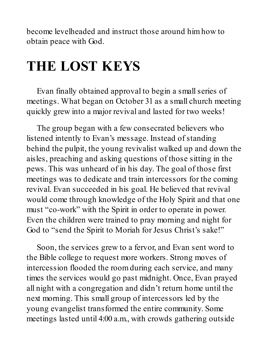become levelheaded and instruct those around himhow to obtain peace with God.

# **THE LOST KEYS**

Evan finally obtained approval to begin a smallseries of meetings. What began on October 31 as a small church meeting quickly grew into a major revival and lasted for two weeks!

The group began with a few consecrated believers who listened intently to Evan's message. Instead of standing behind the pulpit, the young revivalist walked up and down the aisles, preaching and asking questions of those sitting in the pews. This was unheard of in his day. The goal of those first meetings was to dedicate and train intercessors for the coming revival. Evan succeeded in his goal. He believed that revival would come through knowledge of the Holy Spirit and that one must "co-work" with the Spirit in order to operate in power. Even the children were trained to pray morning and night for God to "send the Spirit to Moriah for Jesus Christ's sake!"

Soon, the services grew to a fervor, and Evan sent word to the Bible college to request more workers. Strong moves of intercession flooded the roomduring each service, and many times the services would go past midnight. Once, Evan prayed all night with a congregation and didn't return home until the next morning. This small group of intercessors led by the young evangelist transformed the entire community. Some meetings lasted until 4:00 a.m., with crowds gathering outside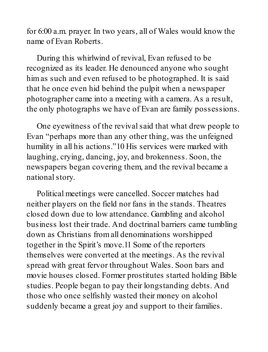for 6:00 a.m. prayer. In two years, all of Wales would know the name of Evan Roberts.

During this whirlwind of revival, Evan refused to be recognized as its leader. He denounced anyone who sought himas such and even refused to be photographed. It is said that he once even hid behind the pulpit when a newspaper photographer came into a meeting with a camera. As a result, the only photographs we have of Evan are family possessions.

One eyewitness of the revivalsaid that what drew people to Evan "perhaps more than any other thing, was the unfeigned humility in all his actions."10 His services were marked with laughing, crying, dancing, joy, and brokenness. Soon, the newspapers began covering them, and the revival became a nationalstory.

Political meetings were cancelled. Soccer matches had neither players on the field nor fans in the stands. Theatres closed down due to low attendance. Gambling and alcohol business lost their trade. And doctrinal barriers came tumbling down as Christians fromall denominations worshipped together in the Spirit's move.11 Some of the reporters themselves were converted at the meetings. As the revival spread with great fervor throughout Wales. Soon bars and movie houses closed. Former prostitutes started holding Bible studies. People began to pay their longstanding debts. And those who once selfishly wasted their money on alcohol suddenly became a great joy and support to their families.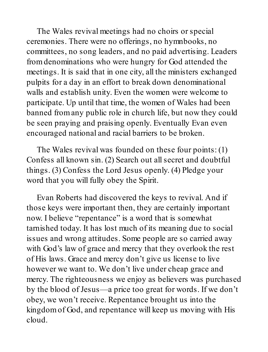The Wales revival meetings had no choirs or special ceremonies. There were no offerings, no hymnbooks, no committees, no song leaders, and no paid advertising. Leaders fromdenominations who were hungry for God attended the meetings. It is said that in one city, all the ministers exchanged pulpits for a day in an effort to break down denominational walls and establish unity. Even the women were welcome to participate. Up until that time, the women of Wales had been banned fromany public role in church life, but now they could be seen praying and praising openly. Eventually Evan even encouraged national and racial barriers to be broken.

The Wales revival was founded on these four points: (1) Confess all known sin. (2) Search out allsecret and doubtful things. (3) Confess the Lord Jesus openly. (4) Pledge your word that you will fully obey the Spirit.

Evan Roberts had discovered the keys to revival. And if those keys were important then, they are certainly important now. I believe "repentance" is a word that is somewhat tarnished today. It has lost much of its meaning due to social issues and wrong attitudes. Some people are so carried away with God's law of grace and mercy that they overlook the rest of His laws. Grace and mercy don't give us license to live however we want to. We don't live under cheap grace and mercy. The righteousness we enjoy as believers was purchased by the blood of Jesus—a price too great for words. If we don't obey, we won't receive. Repentance brought us into the kingdomof God, and repentance will keep us moving with His cloud.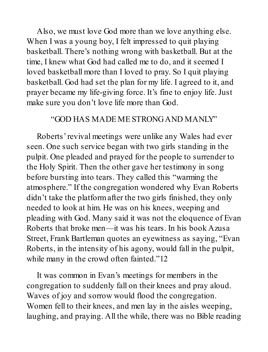Also, we must love God more than we love anything else. When I was a young boy, I felt impressed to quit playing basketball. There's nothing wrong with basketball. But at the time, I knew what God had called me to do, and it seemed I loved basketball more than I loved to pray. So I quit playing basketball. God had set the plan for my life. I agreed to it, and prayer became my life-giving force. It's fine to enjoy life. Just make sure you don't love life more than God.

#### "GOD HAS MADE ME STRONGAND MANLY"

Roberts'revival meetings were unlike any Wales had ever seen. One such service began with two girls standing in the pulpit. One pleaded and prayed for the people to surrender to the Holy Spirit. Then the other gave her testimony in song before bursting into tears. They called this "warming the atmosphere." If the congregation wondered why Evan Roberts didn't take the platformafter the two girls finished, they only needed to look at him. He was on his knees, weeping and pleading with God. Many said it was not the eloquence of Evan Roberts that broke men—it was his tears. In his book Azusa Street, Frank Bartleman quotes an eyewitness as saying, "Evan Roberts, in the intensity of his agony, would fall in the pulpit, while many in the crowd often fainted."12

It was common in Evan's meetings for members in the congregation to suddenly fall on their knees and pray aloud. Waves of joy and sorrow would flood the congregation. Women fell to their knees, and men lay in the aisles weeping, laughing, and praying. All the while, there was no Bible reading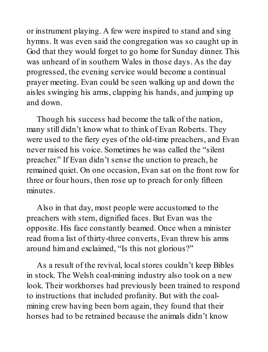or instrument playing. A few were inspired to stand and sing hymns. It was even said the congregation was so caught up in God that they would forget to go home for Sunday dinner. This was unheard of in southern Wales in those days. As the day progressed, the evening service would become a continual prayer meeting. Evan could be seen walking up and down the aisles swinging his arms, clapping his hands, and jumping up and down.

Though his success had become the talk of the nation, many still didn't know what to think of Evan Roberts. They were used to the fiery eyes of the old-time preachers, and Evan never raised his voice. Sometimes he was called the "silent preacher." If Evan didn't sense the unction to preach, he remained quiet. On one occasion, Evan sat on the front row for three or four hours, then rose up to preach for only fifteen minutes.

Also in that day, most people were accustomed to the preachers with stern, dignified faces. But Evan was the opposite. His face constantly beamed. Once when a minister read froma list of thirty-three converts, Evan threw his arms around himand exclaimed, "Is this not glorious?"

As a result of the revival, localstores couldn't keep Bibles in stock. The Welsh coal-mining industry also took on a new look. Their workhorses had previously been trained to respond to instructions that included profanity. But with the coalmining crew having been born again, they found that their horses had to be retrained because the animals didn't know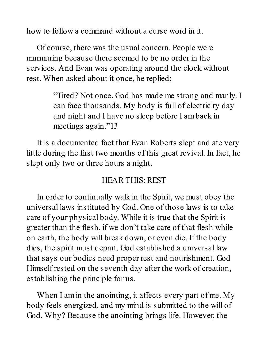how to follow a command without a curse word in it.

Of course, there was the usual concern. People were murmuring because there seemed to be no order in the services. And Evan was operating around the clock without rest. When asked about it once, he replied:

> "Tired? Not once. God has made me strong and manly. I can face thousands. My body is full of electricity day and night and I have no sleep before I amback in meetings again."13

It is a documented fact that Evan Roberts slept and ate very little during the first two months of this great revival. In fact, he slept only two or three hours a night.

#### HEAR THIS: REST

In order to continually walk in the Spirit, we must obey the universal laws instituted by God. One of those laws is to take care of your physical body. While it is true that the Spirit is greater than the flesh, if we don't take care of that flesh while on earth, the body will break down, or even die. If the body dies, the spirit must depart. God established a universal law that says our bodies need proper rest and nourishment. God Himself rested on the seventh day after the work of creation, establishing the principle for us.

When I am in the anointing, it affects every part of me. My body feels energized, and my mind is submitted to the will of God. Why? Because the anointing brings life. However, the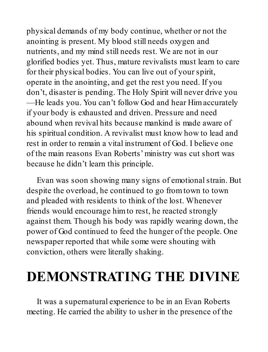physical demands of my body continue, whether or not the anointing is present. My blood still needs oxygen and nutrients, and my mind still needs rest. We are not in our glorified bodies yet. Thus, mature revivalists must learn to care for their physical bodies. You can live out of your spirit, operate in the anointing, and get the rest you need. If you don't, disaster is pending. The Holy Spirit will never drive you —He leads you. You can't follow God and hear Himaccurately if your body is exhausted and driven. Pressure and need abound when revival hits because mankind is made aware of his spiritual condition. A revivalist must know how to lead and rest in order to remain a vital instrument of God. I believe one of the main reasons Evan Roberts'ministry was cut short was because he didn't learn this principle.

Evan was soon showing many signs of emotionalstrain. But despite the overload, he continued to go fromtown to town and pleaded with residents to think of the lost. Whenever friends would encourage himto rest, he reacted strongly against them. Though his body was rapidly wearing down, the power of God continued to feed the hunger of the people. One newspaper reported that while some were shouting with conviction, others were literally shaking.

# **DEMONSTRATING THE DIVINE**

It was a supernatural experience to be in an Evan Roberts meeting. He carried the ability to usher in the presence of the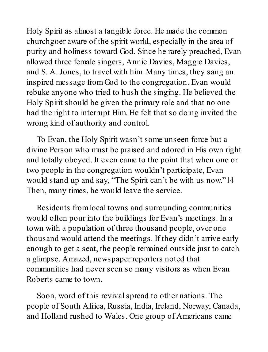Holy Spirit as almost a tangible force. He made the common churchgoer aware of the spirit world, especially in the area of purity and holiness toward God. Since he rarely preached, Evan allowed three female singers, Annie Davies, Maggie Davies, and S. A. Jones, to travel with him. Many times, they sang an inspired message fromGod to the congregation. Evan would rebuke anyone who tried to hush the singing. He believed the Holy Spirit should be given the primary role and that no one had the right to interrupt Him. He felt that so doing invited the wrong kind of authority and control.

To Evan, the Holy Spirit wasn't some unseen force but a divine Person who must be praised and adored in His own right and totally obeyed. It even came to the point that when one or two people in the congregation wouldn't participate, Evan would stand up and say, "The Spirit can't be with us now."14 Then, many times, he would leave the service.

Residents fromlocal towns and surrounding communities would often pour into the buildings for Evan's meetings. In a town with a population of three thousand people, over one thousand would attend the meetings. If they didn't arrive early enough to get a seat, the people remained outside just to catch a glimpse. Amazed, newspaper reporters noted that communities had never seen so many visitors as when Evan Roberts came to town.

Soon, word of this revival spread to other nations. The people of South Africa, Russia, India, Ireland, Norway, Canada, and Holland rushed to Wales. One group of Americans came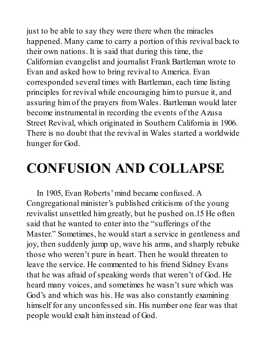just to be able to say they were there when the miracles happened. Many came to carry a portion of this revival back to their own nations. It is said that during this time, the Californian evangelist and journalist Frank Bartleman wrote to Evan and asked how to bring revival to America. Evan corresponded several times with Bartleman, each time listing principles for revival while encouraging himto pursue it, and assuring himof the prayers fromWales. Bartleman would later become instrumental in recording the events of the Azusa Street Revival, which originated in Southern California in 1906. There is no doubt that the revival in Wales started a worldwide hunger for God.

## **CONFUSION AND COLLAPSE**

In 1905, Evan Roberts'mind became confused. A Congregational minister's published criticisms of the young revivalist unsettled himgreatly, but he pushed on.15 He often said that he wanted to enter into the "sufferings of the Master." Sometimes, he would start a service in gentleness and joy, then suddenly jump up, wave his arms, and sharply rebuke those who weren't pure in heart. Then he would threaten to leave the service. He commented to his friend Sidney Evans that he was afraid of speaking words that weren't of God. He heard many voices, and sometimes he wasn't sure which was God's and which was his. He was also constantly examining himself for any unconfessed sin. His number one fear was that people would exalt himinstead of God.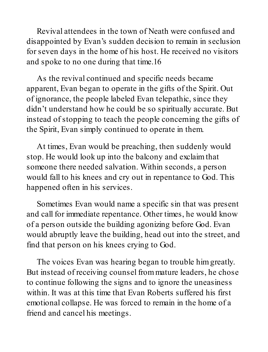Revival attendees in the town of Neath were confused and disappointed by Evan's sudden decision to remain in seclusion for seven days in the home of his host. He received no visitors and spoke to no one during that time.16

As the revival continued and specific needs became apparent, Evan began to operate in the gifts of the Spirit. Out of ignorance, the people labeled Evan telepathic, since they didn't understand how he could be so spiritually accurate. But instead of stopping to teach the people concerning the gifts of the Spirit, Evan simply continued to operate in them.

At times, Evan would be preaching, then suddenly would stop. He would look up into the balcony and exclaimthat someone there needed salvation. Within seconds, a person would fall to his knees and cry out in repentance to God. This happened often in his services.

Sometimes Evan would name a specific sin that was present and call for immediate repentance. Other times, he would know of a person outside the building agonizing before God. Evan would abruptly leave the building, head out into the street, and find that person on his knees crying to God.

The voices Evan was hearing began to trouble himgreatly. But instead of receiving counsel frommature leaders, he chose to continue following the signs and to ignore the uneasiness within. It was at this time that Evan Roberts suffered his first emotional collapse. He was forced to remain in the home of a friend and cancel his meetings.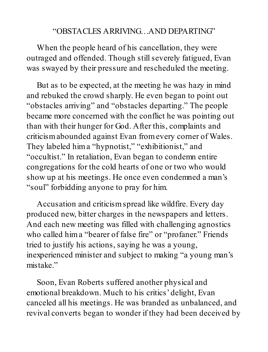#### "OBSTACLES ARRIVING…AND DEPARTING"

When the people heard of his cancellation, they were outraged and offended. Though stillseverely fatigued, Evan was swayed by their pressure and rescheduled the meeting.

But as to be expected, at the meeting he was hazy in mind and rebuked the crowd sharply. He even began to point out "obstacles arriving" and "obstacles departing." The people became more concerned with the conflict he was pointing out than with their hunger for God. After this, complaints and criticismabounded against Evan fromevery corner of Wales. They labeled hima "hypnotist," "exhibitionist," and "occultist." In retaliation, Evan began to condemn entire congregations for the cold hearts of one or two who would show up at his meetings. He once even condemned a man's "soul" forbidding anyone to pray for him.

Accusation and criticismspread like wildfire. Every day produced new, bitter charges in the newspapers and letters. And each new meeting was filled with challenging agnostics who called him a "bearer of false fire" or "profaner." Friends tried to justify his actions, saying he was a young, inexperienced minister and subject to making "a young man's mistake."

Soon, Evan Roberts suffered another physical and emotional breakdown. Much to his critics' delight, Evan canceled all his meetings. He was branded as unbalanced, and revival converts began to wonder if they had been deceived by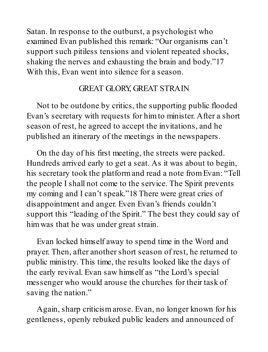Satan. In response to the outburst, a psychologist who examined Evan published this remark: "Our organisms can't support such pitiless tensions and violent repeated shocks, shaking the nerves and exhausting the brain and body."17 With this, Evan went into silence for a season.

#### GREAT GLORY, GREAT STRAIN

Not to be outdone by critics, the supporting public flooded Evan's secretary with requests for himto minister. After a short season of rest, he agreed to accept the invitations, and he published an itinerary of the meetings in the newspapers.

On the day of his first meeting, the streets were packed. Hundreds arrived early to get a seat. As it was about to begin, his secretary took the platformand read a note fromEvan: "Tell the people I shall not come to the service. The Spirit prevents my coming and I can't speak."18 There were great cries of disappointment and anger. Even Evan's friends couldn't support this "leading of the Spirit." The best they could say of himwas that he was under great strain.

Evan locked himself away to spend time in the Word and prayer. Then, after another short season of rest, he returned to public ministry. This time, the results looked like the days of the early revival. Evan saw himself as "the Lord's special messenger who would arouse the churches for their task of saving the nation."

Again, sharp criticismarose. Evan, no longer known for his gentleness, openly rebuked public leaders and announced of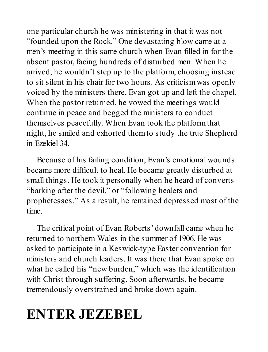one particular church he was ministering in that it was not "founded upon the Rock." One devastating blow came at a men's meeting in this same church when Evan filled in for the absent pastor, facing hundreds of disturbed men. When he arrived, he wouldn't step up to the platform, choosing instead to sit silent in his chair for two hours. As criticismwas openly voiced by the ministers there, Evan got up and left the chapel. When the pastor returned, he vowed the meetings would continue in peace and begged the ministers to conduct themselves peacefully. When Evan took the platformthat night, he smiled and exhorted themto study the true Shepherd in Ezekiel 34.

Because of his failing condition, Evan's emotional wounds became more difficult to heal. He became greatly disturbed at small things. He took it personally when he heard of converts "barking after the devil," or "following healers and prophetesses." As a result, he remained depressed most of the time.

The critical point of Evan Roberts' downfall came when he returned to northern Wales in the summer of 1906. He was asked to participate in a Keswick-type Easter convention for ministers and church leaders. It was there that Evan spoke on what he called his "new burden," which was the identification with Christ through suffering. Soon afterwards, he became tremendously overstrained and broke down again.

# **ENTER JEZEBEL**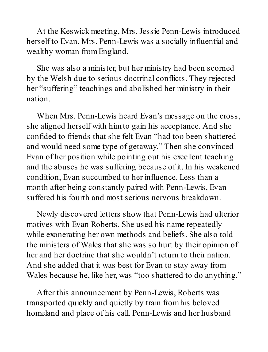At the Keswick meeting, Mrs. Jessie Penn-Lewis introduced herself to Evan. Mrs. Penn-Lewis was a socially influential and wealthy woman fromEngland.

She was also a minister, but her ministry had been scorned by the Welsh due to serious doctrinal conflicts. They rejected her "suffering" teachings and abolished her ministry in their nation.

When Mrs. Penn-Lewis heard Evan's message on the cross, she aligned herself with himto gain his acceptance. And she confided to friends that she felt Evan "had too been shattered and would need some type of getaway." Then she convinced Evan of her position while pointing out his excellent teaching and the abuses he was suffering because of it. In his weakened condition, Evan succumbed to her influence. Less than a month after being constantly paired with Penn-Lewis, Evan suffered his fourth and most serious nervous breakdown.

Newly discovered letters show that Penn-Lewis had ulterior motives with Evan Roberts. She used his name repeatedly while exonerating her own methods and beliefs. She also told the ministers of Wales that she was so hurt by their opinion of her and her doctrine that she wouldn't return to their nation. And she added that it was best for Evan to stay away from Wales because he, like her, was "too shattered to do anything."

After this announcement by Penn-Lewis, Roberts was transported quickly and quietly by train fromhis beloved homeland and place of his call. Penn-Lewis and her husband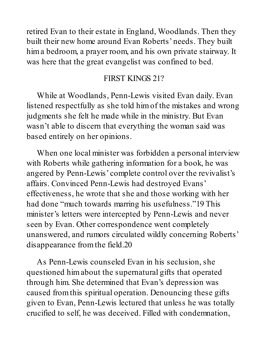retired Evan to their estate in England, Woodlands. Then they built their new home around Evan Roberts' needs. They built hima bedroom, a prayer room, and his own private stairway. It was here that the great evangelist was confined to bed.

#### FIRST KINGS 21?

While at Woodlands, Penn-Lewis visited Evan daily. Evan listened respectfully as she told himof the mistakes and wrong judgments she felt he made while in the ministry. But Evan wasn't able to discern that everything the woman said was based entirely on her opinions.

When one local minister was forbidden a personal interview with Roberts while gathering information for a book, he was angered by Penn-Lewis' complete control over the revivalist's affairs. Convinced Penn-Lewis had destroyed Evans' effectiveness, he wrote that she and those working with her had done "much towards marring his usefulness."19 This minister's letters were intercepted by Penn-Lewis and never seen by Evan. Other correspondence went completely unanswered, and rumors circulated wildly concerning Roberts' disappearance fromthe field.20

As Penn-Lewis counseled Evan in his seclusion, she questioned himabout the supernatural gifts that operated through him. She determined that Evan's depression was caused fromthis spiritual operation. Denouncing these gifts given to Evan, Penn-Lewis lectured that unless he was totally crucified to self, he was deceived. Filled with condemnation,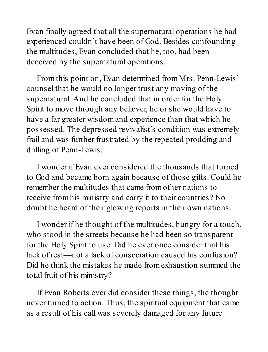Evan finally agreed that all the supernatural operations he had experienced couldn't have been of God. Besides confounding the multitudes, Evan concluded that he, too, had been deceived by the supernatural operations.

Fromthis point on, Evan determined fromMrs. Penn-Lewis' counsel that he would no longer trust any moving of the supernatural. And he concluded that in order for the Holy Spirit to move through any believer, he or she would have to have a far greater wisdomand experience than that which he possessed. The depressed revivalist's condition was extremely frail and was further frustrated by the repeated prodding and drilling of Penn-Lewis.

I wonder if Evan ever considered the thousands that turned to God and became born again because of those gifts. Could he remember the multitudes that came fromother nations to receive fromhis ministry and carry it to their countries? No doubt he heard of their glowing reports in their own nations.

I wonder if he thought of the multitudes, hungry for a touch, who stood in the streets because he had been so transparent for the Holy Spirit to use. Did he ever once consider that his lack of rest—not a lack of consecration caused his confusion? Did he think the mistakes he made fromexhaustion summed the total fruit of his ministry?

If Evan Roberts ever did consider these things, the thought never turned to action. Thus, the spiritual equipment that came as a result of his call was severely damaged for any future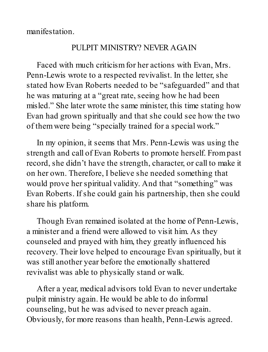manifestation.

#### PUL PIT MINISTRY? NEVER A GAIN

Faced with much criticism for her actions with Evan, Mrs. Penn-Lewis wrote to a respected revivalist. In the letter, she stated how Evan Roberts needed to be "safeguarded" and that he was maturing at a "great rate, seeing how he had been misled." She later wrote the same minister, this time stating how Evan had grown spiritually and that she could see how the two of themwere being "specially trained for a special work."

In my opinion, it seems that Mrs. Penn-Lewis was using the strength and call of Evan Roberts to promote herself. Frompast record, she didn't have the strength, character, or call to make it on her own. Therefore, I believe she needed something that would prove her spiritual validity. And that "something" was Evan Roberts. If she could gain his partnership, then she could share his platform.

Though Evan remained isolated at the home of Penn-Lewis, a minister and a friend were allowed to visit him. As they counseled and prayed with him, they greatly influenced his recovery. Their love helped to encourage Evan spiritually, but it was still another year before the emotionally shattered revivalist was able to physically stand or walk.

After a year, medical advisors told Evan to never undertake pulpit ministry again. He would be able to do informal counseling, but he was advised to never preach again. Obviously, for more reasons than health, Penn-Lewis agreed.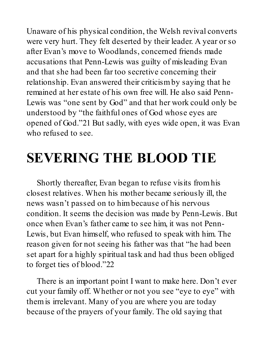Unaware of his physical condition, the Welsh revival converts were very hurt. They felt deserted by their leader. A year or so after Evan's move to Woodlands, concerned friends made accusations that Penn-Lewis was guilty of misleading Evan and that she had been far too secretive concerning their relationship. Evan answered their criticismby saying that he remained at her estate of his own free will. He also said Penn-Lewis was "one sent by God" and that her work could only be understood by "the faithful ones of God whose eyes are opened of God."21 But sadly, with eyes wide open, it was Evan who refused to see.

# **SEVERING THE BLOOD TIE**

Shortly thereafter, Evan began to refuse visits fromhis closest relatives. When his mother became seriously ill, the news wasn't passed on to himbecause of his nervous condition. It seems the decision was made by Penn-Lewis. But once when Evan's father came to see him, it was not Penn-Lewis, but Evan himself, who refused to speak with him. The reason given for not seeing his father was that "he had been set apart for a highly spiritual task and had thus been obliged to forget ties of blood."22

There is an important point I want to make here. Don't ever cut your family off. Whether or not you see "eye to eye" with themis irrelevant. Many of you are where you are today because of the prayers of your family. The old saying that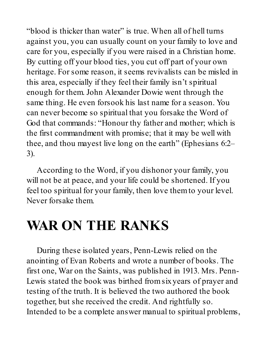"blood is thicker than water" is true. When all of hell turns against you, you can usually count on your family to love and care for you, especially if you were raised in a Christian home. By cutting off your blood ties, you cut off part of your own heritage. For some reason, it seems revivalists can be misled in this area, especially if they feel their family isn't spiritual enough for them. John Alexander Dowie went through the same thing. He even forsook his last name for a season. You can never become so spiritual that you forsake the Word of God that commands: "Honour thy father and mother; which is the first commandment with promise; that it may be well with thee, and thou mayest live long on the earth" (Ephesians 6:2– 3).

According to the Word, if you dishonor your family, you will not be at peace, and your life could be shortened. If you feel too spiritual for your family, then love themto your level. Never forsake them.

## **WAR ON THE RANKS**

During these isolated years, Penn-Lewis relied on the anointing of Evan Roberts and wrote a number of books. The first one, War on the Saints, was published in 1913. Mrs. Penn-Lewis stated the book was birthed fromsixyears of prayer and testing of the truth. It is believed the two authored the book together, but she received the credit. And rightfully so. Intended to be a complete answer manual to spiritual problems,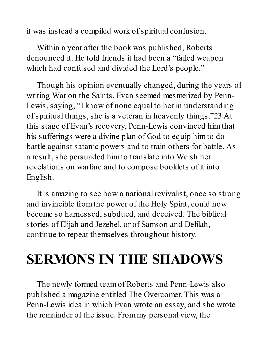it was instead a compiled work of spiritual confusion.

Within a year after the book was published, Roberts denounced it. He told friends it had been a "failed weapon which had confused and divided the Lord's people."

Though his opinion eventually changed, during the years of writing War on the Saints, Evan seemed mesmerized by Penn-Lewis, saying, "I know of none equal to her in understanding of spiritual things, she is a veteran in heavenly things."23 At this stage of Evan's recovery, Penn-Lewis convinced himthat his sufferings were a divine plan of God to equip himto do battle against satanic powers and to train others for battle. As a result, she persuaded himto translate into Welsh her revelations on warfare and to compose booklets of it into English.

It is amazing to see how a national revivalist, once so strong and invincible fromthe power of the Holy Spirit, could now become so harnessed, subdued, and deceived. The biblical stories of Elijah and Jezebel, or of Samson and Delilah, continue to repeat themselves throughout history.

# **SERMONS IN THE SHADOWS**

The newly formed teamof Roberts and Penn-Lewis also published a magazine entitled The Overcomer. This was a Penn-Lewis idea in which Evan wrote an essay, and she wrote the remainder of the issue. Frommy personal view, the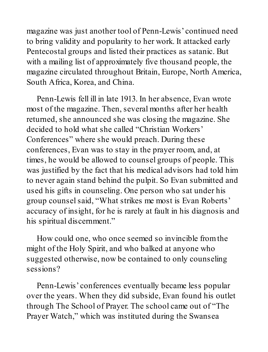magazine was just another tool of Penn-Lewis' continued need to bring validity and popularity to her work. It attacked early Pentecostal groups and listed their practices as satanic. But with a mailing list of approximately five thousand people, the magazine circulated throughout Britain, Europe, North America, South Africa, Korea, and China.

Penn-Lewis fell ill in late 1913. In her absence, Evan wrote most of the magazine. Then, several months after her health returned, she announced she was closing the magazine. She decided to hold what she called "Christian Workers' Conferences" where she would preach. During these conferences, Evan was to stay in the prayer room, and, at times, he would be allowed to counsel groups of people. This was justified by the fact that his medical advisors had told him to never again stand behind the pulpit. So Evan submitted and used his gifts in counseling. One person who sat under his group counselsaid, "What strikes me most is Evan Roberts' accuracy of insight, for he is rarely at fault in his diagnosis and his spiritual discernment."

How could one, who once seemed so invincible fromthe might of the Holy Spirit, and who balked at anyone who suggested otherwise, now be contained to only counseling sessions?

Penn-Lewis' conferences eventually became less popular over the years. When they did subside, Evan found his outlet through The School of Prayer. The school came out of "The Prayer Watch," which was instituted during the Swansea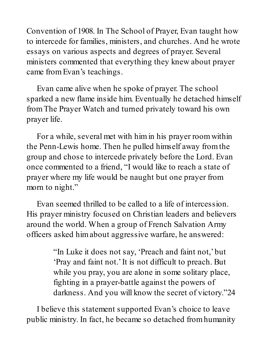Convention of 1908. In The School of Prayer, Evan taught how to intercede for families, ministers, and churches. And he wrote essays on various aspects and degrees of prayer. Several ministers commented that everything they knew about prayer came fromEvan's teachings.

Evan came alive when he spoke of prayer. The school sparked a new flame inside him. Eventually he detached himself fromThe Prayer Watch and turned privately toward his own prayer life.

For a while, several met with himin his prayer roomwithin the Penn-Lewis home. Then he pulled himself away fromthe group and chose to intercede privately before the Lord. Evan once commented to a friend, "I would like to reach a state of prayer where my life would be naught but one prayer from morn to night."

Evan seemed thrilled to be called to a life of intercession. His prayer ministry focused on Christian leaders and believers around the world. When a group of French Salvation Army officers asked himabout aggressive warfare, he answered:

> "In Luke it does not say, 'Preach and faint not,' but 'Pray and faint not.'It is not difficult to preach. But while you pray, you are alone in some solitary place, fighting in a prayer-battle against the powers of darkness. And you will know the secret of victory."24

I believe this statement supported Evan's choice to leave public ministry. In fact, he became so detached fromhumanity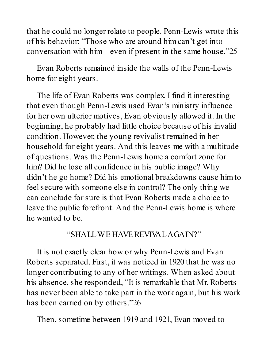that he could no longer relate to people. Penn-Lewis wrote this of his behavior: "Those who are around himcan't get into conversation with him—even if present in the same house."25

Evan Roberts remained inside the walls of the Penn-Lewis home for eight years.

The life of Evan Roberts was complex. I find it interesting that even though Penn-Lewis used Evan's ministry influence for her own ulterior motives, Evan obviously allowed it. In the beginning, he probably had little choice because of his invalid condition. However, the young revivalist remained in her household for eight years. And this leaves me with a multitude of questions. Was the Penn-Lewis home a comfort zone for him? Did he lose all confidence in his public image? Why didn't he go home? Did his emotional breakdowns cause himto feelsecure with someone else in control? The only thing we can conclude for sure is that Evan Roberts made a choice to leave the public forefront. And the Penn-Lewis home is where he wanted to be.

#### "SHALLWE HAVEREVIVALAGAIN?"

It is not exactly clear how or why Penn-Lewis and Evan Roberts separated. First, it was noticed in 1920 that he was no longer contributing to any of her writings. When asked about his absence, she responded, "It is remarkable that Mr. Roberts has never been able to take part in the work again, but his work has been carried on by others."26

Then, sometime between 1919 and 1921, Evan moved to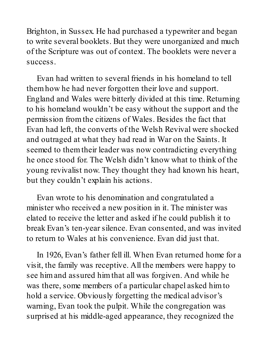Brighton, in Sussex. He had purchased a typewriter and began to write several booklets. But they were unorganized and much of the Scripture was out of context. The booklets were never a success.

Evan had written to several friends in his homeland to tell themhow he had never forgotten their love and support. England and Wales were bitterly divided at this time. Returning to his homeland wouldn't be easy without the support and the permission fromthe citizens of Wales. Besides the fact that Evan had left, the converts of the Welsh Revival were shocked and outraged at what they had read in War on the Saints. It seemed to themtheir leader was now contradicting everything he once stood for. The Welsh didn't know what to think of the young revivalist now. They thought they had known his heart, but they couldn't explain his actions.

Evan wrote to his denomination and congratulated a minister who received a new position in it. The minister was elated to receive the letter and asked if he could publish it to break Evan's ten-year silence. Evan consented, and was invited to return to Wales at his convenience. Evan did just that.

In 1926, Evan's father fell ill. When Evan returned home for a visit, the family was receptive. All the members were happy to see himand assured himthat all was forgiven. And while he was there, some members of a particular chapel asked himto hold a service. Obviously forgetting the medical advisor's warning, Evan took the pulpit. While the congregation was surprised at his middle-aged appearance, they recognized the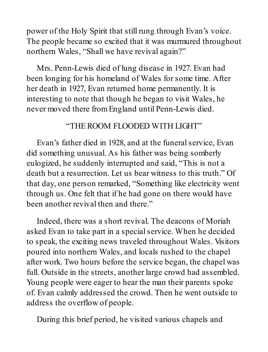power of the Holy Spirit that still rung through Evan's voice. The people became so excited that it was murmured throughout northern Wales, "Shall we have revival again?"

Mrs. Penn-Lewis died of lung disease in 1927. Evan had been longing for his homeland of Wales for some time. After her death in 1927, Evan returned home permanently. It is interesting to note that though he began to visit Wales, he never moved there fromEngland until Penn-Lewis died.

#### "THEROOM FLOODED WITH LIGHT"

Evan's father died in 1928, and at the funeral service, Evan did something unusual. As his father was being somberly eulogized, he suddenly interrupted and said, "This is not a death but a resurrection. Let us bear witness to this truth." Of that day, one person remarked, "Something like electricity went through us. One felt that if he had gone on there would have been another revival then and there."

Indeed, there was a short revival. The deacons of Moriah asked Evan to take part in a specialservice. When he decided to speak, the exciting news traveled throughout Wales. Visitors poured into northern Wales, and locals rushed to the chapel after work. Two hours before the service began, the chapel was full. Outside in the streets, another large crowd had assembled. Young people were eager to hear the man their parents spoke of. Evan calmly addressed the crowd. Then he went outside to address the overflow of people.

During this brief period, he visited various chapels and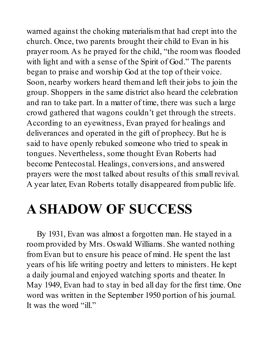warned against the choking materialismthat had crept into the church. Once, two parents brought their child to Evan in his prayer room. As he prayed for the child, "the roomwas flooded with light and with a sense of the Spirit of God." The parents began to praise and worship God at the top of their voice. Soon, nearby workers heard themand left their jobs to join the group. Shoppers in the same district also heard the celebration and ran to take part. In a matter of time, there was such a large crowd gathered that wagons couldn't get through the streets. According to an eyewitness, Evan prayed for healings and deliverances and operated in the gift of prophecy. But he is said to have openly rebuked someone who tried to speak in tongues. Nevertheless, some thought Evan Roberts had become Pentecostal. Healings, conversions, and answered prayers were the most talked about results of this small revival. A year later, Evan Roberts totally disappeared frompublic life.

# **A SHADOW OF SUCCESS**

By 1931, Evan was almost a forgotten man. He stayed in a roomprovided by Mrs. Oswald Williams. She wanted nothing fromEvan but to ensure his peace of mind. He spent the last years of his life writing poetry and letters to ministers. He kept a daily journal and enjoyed watching sports and theater. In May 1949, Evan had to stay in bed all day for the first time. One word was written in the September 1950 portion of his journal. It was the word "ill."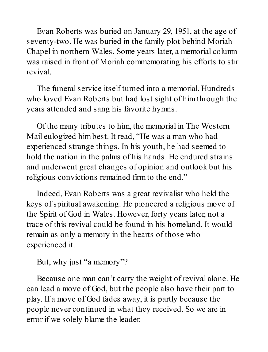Evan Roberts was buried on January 29, 1951, at the age of seventy-two. He was buried in the family plot behind Moriah Chapel in northern Wales. Some years later, a memorial column was raised in front of Moriah commemorating his efforts to stir revival.

The funeralservice itself turned into a memorial. Hundreds who loved Evan Roberts but had lost sight of himthrough the years attended and sang his favorite hymns.

Of the many tributes to him, the memorial in The Western Mail eulogized himbest. It read, "He was a man who had experienced strange things. In his youth, he had seemed to hold the nation in the palms of his hands. He endured strains and underwent great changes of opinion and outlook but his religious convictions remained firmto the end."

Indeed, Evan Roberts was a great revivalist who held the keys of spiritual awakening. He pioneered a religious move of the Spirit of God in Wales. However, forty years later, not a trace of this revival could be found in his homeland. It would remain as only a memory in the hearts of those who experienced it.

But, why just "a memory"?

Because one man can't carry the weight of revival alone. He can lead a move of God, but the people also have their part to play. If a move of God fades away, it is partly because the people never continued in what they received. So we are in error if we solely blame the leader.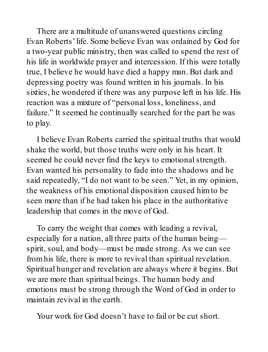There are a multitude of unanswered questions circling Evan Roberts'life. Some believe Evan was ordained by God for a two-year public ministry, then was called to spend the rest of his life in worldwide prayer and intercession. If this were totally true, I believe he would have died a happy man. But dark and depressing poetry was found written in his journals. In his sixties, he wondered if there was any purpose left in his life. His reaction was a mixture of "personal loss, loneliness, and failure." It seemed he continually searched for the part he was to play.

I believe Evan Roberts carried the spiritual truths that would shake the world, but those truths were only in his heart. It seemed he could never find the keys to emotional strength. Evan wanted his personality to fade into the shadows and he said repeatedly, "I do not want to be seen." Yet, in my opinion, the weakness of his emotional disposition caused himto be seen more than if he had taken his place in the authoritative leadership that comes in the move of God.

To carry the weight that comes with leading a revival, especially for a nation, all three parts of the human being spirit, soul, and body—must be made strong. As we can see fromhis life, there is more to revival than spiritual revelation. Spiritual hunger and revelation are always where it begins. But we are more than spiritual beings. The human body and emotions must be strong through the Word of God in order to maintain revival in the earth.

Your work for God doesn't have to fail or be cut short.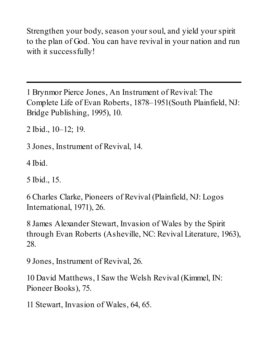Strengthen your body, season your soul, and yield your spirit to the plan of God. You can have revival in your nation and run with it successfully!

1 Brynmor Pierce Jones, An Instrument of Revival: The Complete Life of Evan Roberts, 1878–1951(South Plainfield, NJ: Bridge Publishing, 1995), 10.

2 Ibid., 10–12; 19.

3 Jones, Instrument of Revival, 14.

4 Ibid.

5 Ibid., 15.

6 Charles Clarke, Pioneers of Revival (Plainfield, NJ: Logos International, 1971), 26.

8 James Alexander Stewart, Invasion of Wales by the Spirit through Evan Roberts (Asheville, NC: Revival Literature, 1963), 28.

9 Jones, Instrument of Revival, 26.

10 David Matthews, I Saw the Welsh Revival (Kimmel, IN: Pioneer Books), 75.

11 Stewart, Invasion of Wales, 64, 65.